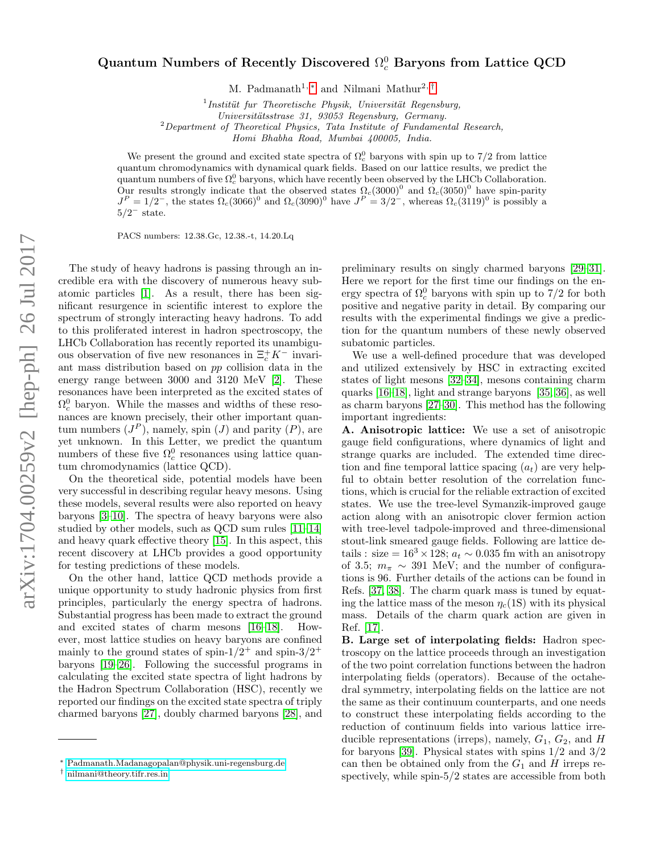## $\rm{Quantum}$  Numbers of Recently Discovered  $\Omega_c^0$  Baryons from Lattice QCD

M. Padmanath<sup>1, [∗](#page-0-0)</sup> and Nilmani Mathur<sup>2, [†](#page-0-1)</sup>

 $1$ Institüt fur Theoretische Physik, Universität Regensburg,

Universitätsstrase 31, 93053 Regensburg, Germany.

 $2$ Department of Theoretical Physics, Tata Institute of Fundamental Research,

Homi Bhabha Road, Mumbai 400005, India.

We present the ground and excited state spectra of  $\Omega_c^0$  baryons with spin up to 7/2 from lattice quantum chromodynamics with dynamical quark fields. Based on our lattice results, we predict the quantum numbers of five  $\Omega_c^0$  baryons, which have recently been observed by the LHCb Collaboration. Our results strongly indicate that the observed states  $\Omega_c(3000)^0$  and  $\Omega_c(3050)^0$  have spin-parity  $J<sup>P</sup> = 1/2^-$ , the states  $\Omega_c(3066)^0$  and  $\Omega_c(3090)^0$  have  $J<sup>P</sup> = 3/2^-$ , whereas  $\Omega_c(3119)^0$  is possibly a  $5/2^-$  state.

PACS numbers: 12.38.Gc, 12.38.-t, 14.20.Lq

The study of heavy hadrons is passing through an incredible era with the discovery of numerous heavy subatomic particles [\[1\]](#page-4-0). As a result, there has been significant resurgence in scientific interest to explore the spectrum of strongly interacting heavy hadrons. To add to this proliferated interest in hadron spectroscopy, the LHCb Collaboration has recently reported its unambiguous observation of five new resonances in  $\Xi_c^+ K^-$  invariant mass distribution based on pp collision data in the energy range between 3000 and 3120 MeV [\[2\]](#page-4-1). These resonances have been interpreted as the excited states of  $\Omega_c^0$  baryon. While the masses and widths of these resonances are known precisely, their other important quantum numbers  $(J^P)$ , namely, spin  $(J)$  and parity  $(P)$ , are yet unknown. In this Letter, we predict the quantum numbers of these five  $\Omega_c^0$  resonances using lattice quantum chromodynamics (lattice QCD).

On the theoretical side, potential models have been very successful in describing regular heavy mesons. Using these models, several results were also reported on heavy baryons [\[3](#page-4-2)[–10\]](#page-4-3). The spectra of heavy baryons were also studied by other models, such as QCD sum rules [\[11](#page-4-4)[–14\]](#page-4-5) and heavy quark effective theory [\[15\]](#page-4-6). In this aspect, this recent discovery at LHCb provides a good opportunity for testing predictions of these models.

On the other hand, lattice QCD methods provide a unique opportunity to study hadronic physics from first principles, particularly the energy spectra of hadrons. Substantial progress has been made to extract the ground and excited states of charm mesons [\[16](#page-4-7)[–18\]](#page-4-8). However, most lattice studies on heavy baryons are confined mainly to the ground states of spin- $1/2^+$  and spin- $3/2^+$ baryons [\[19](#page-4-9)[–26\]](#page-4-10). Following the successful programs in calculating the excited state spectra of light hadrons by the Hadron Spectrum Collaboration (HSC), recently we reported our findings on the excited state spectra of triply charmed baryons [\[27\]](#page-4-11), doubly charmed baryons [\[28\]](#page-4-12), and

preliminary results on singly charmed baryons [\[29–](#page-4-13)[31\]](#page-4-14). Here we report for the first time our findings on the energy spectra of  $\Omega_c^0$  baryons with spin up to  $7/2$  for both positive and negative parity in detail. By comparing our results with the experimental findings we give a prediction for the quantum numbers of these newly observed subatomic particles.

We use a well-defined procedure that was developed and utilized extensively by HSC in extracting excited states of light mesons [\[32–](#page-4-15)[34\]](#page-4-16), mesons containing charm quarks [\[16](#page-4-7)[–18\]](#page-4-8), light and strange baryons [\[35,](#page-4-17) [36\]](#page-4-18), as well as charm baryons [\[27](#page-4-11)[–30\]](#page-4-19). This method has the following important ingredients:

A. Anisotropic lattice: We use a set of anisotropic gauge field configurations, where dynamics of light and strange quarks are included. The extended time direction and fine temporal lattice spacing  $(a_t)$  are very helpful to obtain better resolution of the correlation functions, which is crucial for the reliable extraction of excited states. We use the tree-level Symanzik-improved gauge action along with an anisotropic clover fermion action with tree-level tadpole-improved and three-dimensional stout-link smeared gauge fields. Following are lattice details : size =  $16^3 \times 128$ ;  $a_t \sim 0.035$  fm with an anisotropy of 3.5;  $m_{\pi} \sim 391$  MeV; and the number of configurations is 96. Further details of the actions can be found in Refs. [\[37,](#page-4-20) [38\]](#page-4-21). The charm quark mass is tuned by equating the lattice mass of the meson  $\eta_c(1S)$  with its physical mass. Details of the charm quark action are given in Ref. [\[17\]](#page-4-22).

B. Large set of interpolating fields: Hadron spectroscopy on the lattice proceeds through an investigation of the two point correlation functions between the hadron interpolating fields (operators). Because of the octahedral symmetry, interpolating fields on the lattice are not the same as their continuum counterparts, and one needs to construct these interpolating fields according to the reduction of continuum fields into various lattice irreducible representations (irreps), namely,  $G_1$ ,  $G_2$ , and H for baryons [\[39\]](#page-4-23). Physical states with spins  $1/2$  and  $3/2$ can then be obtained only from the  $G_1$  and H irreps respectively, while spin-5/2 states are accessible from both

<span id="page-0-0"></span><sup>∗</sup> [Padmanath.Madanagopalan@physik.uni-regensburg.de](mailto:Padmanath.Madanagopalan@physik.uni-regensburg.de)

<span id="page-0-1"></span><sup>†</sup> [nilmani@theory.tifr.res.in](mailto:nilmani@theory.tifr.res.in)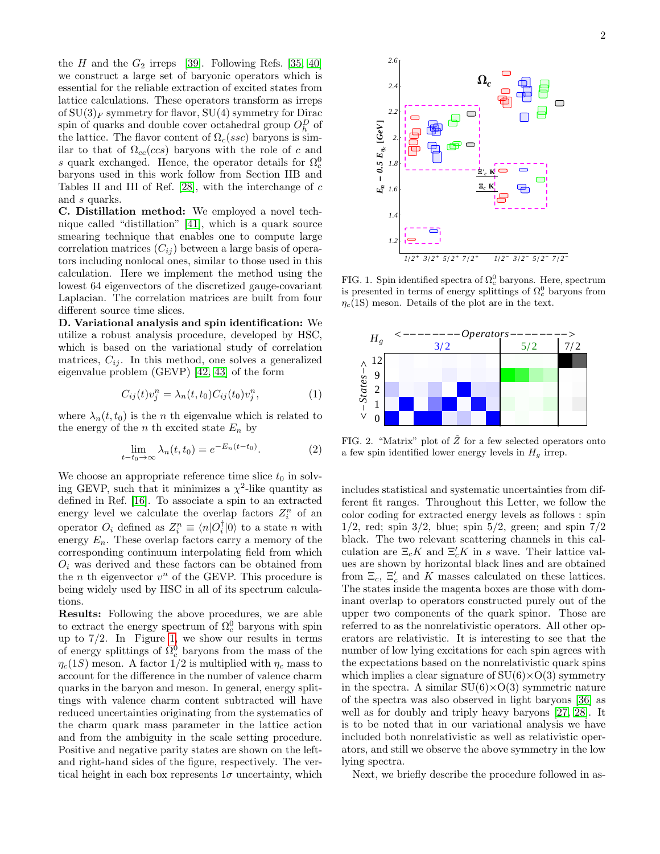the H and the  $G_2$  irreps [\[39\]](#page-4-23). Following Refs. [\[35,](#page-4-17) [40\]](#page-4-24) we construct a large set of baryonic operators which is essential for the reliable extraction of excited states from lattice calculations. These operators transform as irreps of  $SU(3)_F$  symmetry for flavor,  $SU(4)$  symmetry for Dirac spin of quarks and double cover octahedral group  $O_h^D$  of the lattice. The flavor content of  $\Omega_c(ssc)$  baryons is similar to that of  $\Omega_{cc}(ccs)$  baryons with the role of c and s quark exchanged. Hence, the operator details for  $\Omega_c^0$ baryons used in this work follow from Section IIB and Tables II and III of Ref. [\[28\]](#page-4-12), with the interchange of  $c$ and s quarks.

C. Distillation method: We employed a novel technique called "distillation" [\[41\]](#page-4-25), which is a quark source smearing technique that enables one to compute large correlation matrices  $(C_{ij})$  between a large basis of operators including nonlocal ones, similar to those used in this calculation. Here we implement the method using the lowest 64 eigenvectors of the discretized gauge-covariant Laplacian. The correlation matrices are built from four different source time slices.

D. Variational analysis and spin identification: We utilize a robust analysis procedure, developed by HSC, which is based on the variational study of correlation matrices,  $C_{ij}$ . In this method, one solves a generalized eigenvalue problem (GEVP) [\[42,](#page-4-26) [43\]](#page-4-27) of the form

$$
C_{ij}(t)v_j^n = \lambda_n(t, t_0)C_{ij}(t_0)v_j^n,
$$
\n<sup>(1)</sup>

where  $\lambda_n(t, t_0)$  is the *n* th eigenvalue which is related to the energy of the *n* th excited state  $E_n$  by

$$
\lim_{t-t_0 \to \infty} \lambda_n(t, t_0) = e^{-E_n(t - t_0)}.
$$
 (2)

We choose an appropriate reference time slice  $t_0$  in solving GEVP, such that it minimizes a  $\chi^2$ -like quantity as defined in Ref. [\[16\]](#page-4-7). To associate a spin to an extracted energy level we calculate the overlap factors  $Z_i^n$  of an operator  $O_i$  defined as  $Z_i^n \equiv \langle n|O_i^{\dagger}|0\rangle$  to a state n with energy  $E_n$ . These overlap factors carry a memory of the corresponding continuum interpolating field from which  $O_i$  was derived and these factors can be obtained from the  $n$  th eigenvector  $v^n$  of the GEVP. This procedure is being widely used by HSC in all of its spectrum calculations.

Results: Following the above procedures, we are able to extract the energy spectrum of  $\Omega_c^0$  baryons with spin up to  $7/2$ . In Figure [1,](#page-1-0) we show our results in terms of energy splittings of  $\Omega_c^0$  baryons from the mass of the  $\eta_c(1S)$  meson. A factor  $1/2$  is multiplied with  $\eta_c$  mass to account for the difference in the number of valence charm quarks in the baryon and meson. In general, energy splittings with valence charm content subtracted will have reduced uncertainties originating from the systematics of the charm quark mass parameter in the lattice action and from the ambiguity in the scale setting procedure. Positive and negative parity states are shown on the leftand right-hand sides of the figure, respectively. The vertical height in each box represents  $1\sigma$  uncertainty, which



<span id="page-1-0"></span>FIG. 1. Spin identified spectra of  $\Omega_c^0$  baryons. Here, spectrum is presented in terms of energy splittings of  $\Omega_c^0$  baryons from  $\eta_c(1S)$  meson. Details of the plot are in the text.



<span id="page-1-1"></span>FIG. 2. "Matrix" plot of  $\tilde{Z}$  for a few selected operators onto a few spin identified lower energy levels in  $H<sub>g</sub>$  irrep.

includes statistical and systematic uncertainties from different fit ranges. Throughout this Letter, we follow the color coding for extracted energy levels as follows : spin  $1/2$ , red; spin  $3/2$ , blue; spin  $5/2$ , green; and spin  $7/2$ black. The two relevant scattering channels in this calculation are  $\Xi_c K$  and  $\Xi_c' K$  in s wave. Their lattice values are shown by horizontal black lines and are obtained from  $\Xi_c$ ,  $\Xi_c'$  and K masses calculated on these lattices. The states inside the magenta boxes are those with dominant overlap to operators constructed purely out of the upper two components of the quark spinor. Those are referred to as the nonrelativistic operators. All other operators are relativistic. It is interesting to see that the number of low lying excitations for each spin agrees with the expectations based on the nonrelativistic quark spins which implies a clear signature of  $SU(6)\times O(3)$  symmetry in the spectra. A similar  $SU(6)\times O(3)$  symmetric nature of the spectra was also observed in light baryons [\[36\]](#page-4-18) as well as for doubly and triply heavy baryons [\[27,](#page-4-11) [28\]](#page-4-12). It is to be noted that in our variational analysis we have included both nonrelativistic as well as relativistic operators, and still we observe the above symmetry in the low lying spectra.

Next, we briefly describe the procedure followed in as-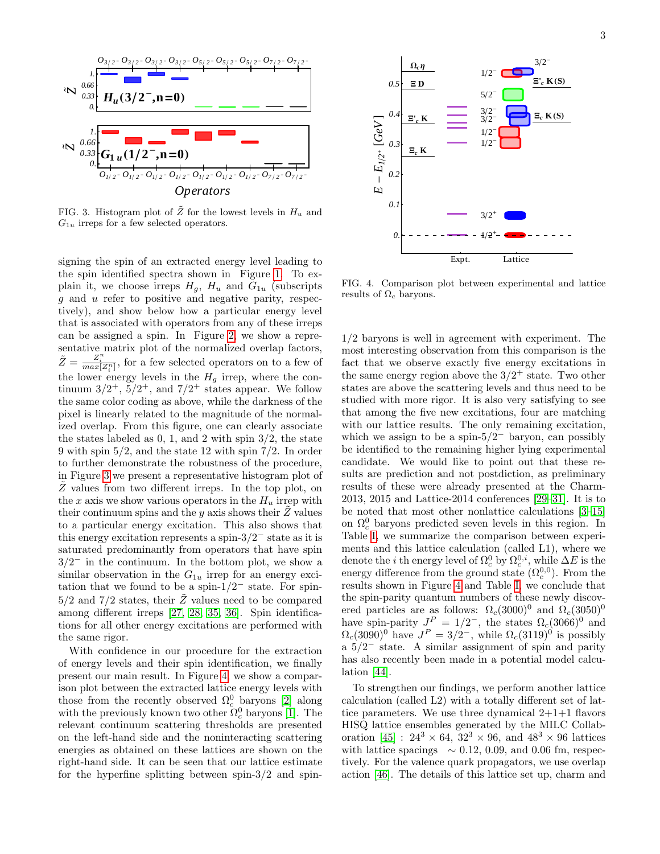

<span id="page-2-0"></span>FIG. 3. Histogram plot of  $\tilde{Z}$  for the lowest levels in  $H_u$  and  $G_{1u}$  irreps for a few selected operators.

signing the spin of an extracted energy level leading to the spin identified spectra shown in Figure [1.](#page-1-0) To explain it, we choose irreps  $H_q$ ,  $H_u$  and  $G_{1u}$  (subscripts  $g$  and  $u$  refer to positive and negative parity, respectively), and show below how a particular energy level that is associated with operators from any of these irreps can be assigned a spin. In Figure [2,](#page-1-1) we show a representative matrix plot of the normalized overlap factors,  $\tilde{Z} = \frac{Z_i^n}{max[Z_i^n]}$ , for a few selected operators on to a few of the lower energy levels in the  $H<sub>g</sub>$  irrep, where the continuum  $3/2^+$ ,  $5/2^+$ , and  $7/2^+$  states appear. We follow the same color coding as above, while the darkness of the pixel is linearly related to the magnitude of the normalized overlap. From this figure, one can clearly associate the states labeled as  $0, 1$ , and  $2$  with spin  $3/2$ , the state 9 with spin 5/2, and the state 12 with spin 7/2. In order to further demonstrate the robustness of the procedure, in Figure [3](#page-2-0) we present a representative histogram plot of  $\tilde{Z}$  values from two different irreps. In the top plot, on the  $x$  axis we show various operators in the  $H_u$  irrep with their continuum spins and the y axis shows their  $\ddot{Z}$  values to a particular energy excitation. This also shows that this energy excitation represents a spin- $3/2^-$  state as it is saturated predominantly from operators that have spin  $3/2^-$  in the continuum. In the bottom plot, we show a similar observation in the  $G_{1u}$  irrep for an energy excitation that we found to be a spin- $1/2^-$  state. For spin- $5/2$  and  $7/2$  states, their  $\tilde{Z}$  values need to be compared among different irreps [\[27,](#page-4-11) [28,](#page-4-12) [35,](#page-4-17) [36\]](#page-4-18). Spin identifications for all other energy excitations are performed with the same rigor.

With confidence in our procedure for the extraction of energy levels and their spin identification, we finally present our main result. In Figure [4,](#page-2-1) we show a comparison plot between the extracted lattice energy levels with those from the recently observed  $\Omega_c^0$  baryons [\[2\]](#page-4-1) along with the previously known two other  $\Omega_c^0$  baryons [\[1\]](#page-4-0). The relevant continuum scattering thresholds are presented on the left-hand side and the noninteracting scattering energies as obtained on these lattices are shown on the right-hand side. It can be seen that our lattice estimate for the hyperfine splitting between spin- $3/2$  and spin-



<span id="page-2-1"></span>FIG. 4. Comparison plot between experimental and lattice results of  $\Omega_c$  baryons.

1/2 baryons is well in agreement with experiment. The most interesting observation from this comparison is the fact that we observe exactly five energy excitations in the same energy region above the  $3/2^+$  state. Two other states are above the scattering levels and thus need to be studied with more rigor. It is also very satisfying to see that among the five new excitations, four are matching with our lattice results. The only remaining excitation, which we assign to be a spin- $5/2^-$  baryon, can possibly be identified to the remaining higher lying experimental candidate. We would like to point out that these results are prediction and not postdiction, as preliminary results of these were already presented at the Charm-2013, 2015 and Lattice-2014 conferences [\[29–](#page-4-13)[31\]](#page-4-14). It is to be noted that most other nonlattice calculations [\[3](#page-4-2)[–15\]](#page-4-6) on  $\Omega_c^0$  baryons predicted seven levels in this region. In Table [I,](#page-3-0) we summarize the comparison between experiments and this lattice calculation (called L1), where we denote the *i* th energy level of  $\Omega_c^0$  by  $\Omega_c^{0,i}$ , while  $\Delta E$  is the energy difference from the ground state  $(\Omega_c^{0,0})$ . From the results shown in Figure [4](#page-2-1) and Table [I,](#page-3-0) we conclude that the spin-parity quantum numbers of these newly discovered particles are as follows:  $\Omega_c(3000)^0$  and  $\Omega_c(3050)^0$ have spin-parity  $J^P = 1/2^-$ , the states  $\Omega_c(3066)^0$  and  $\Omega_c(3090)^0$  have  $J^P = 3/2^-$ , while  $\Omega_c(3119)^0$  is possibly  $a 5/2^-$  state. A similar assignment of spin and parity has also recently been made in a potential model calculation [\[44\]](#page-4-28).

To strengthen our findings, we perform another lattice calculation (called L2) with a totally different set of lattice parameters. We use three dynamical  $2+1+1$  flavors HISQ lattice ensembles generated by the MILC Collab-oration [\[45\]](#page-4-29) :  $24^3 \times 64$ ,  $32^3 \times 96$ , and  $48^3 \times 96$  lattices with lattice spacings  $\sim 0.12, 0.09$ , and 0.06 fm, respectively. For the valence quark propagators, we use overlap action [\[46\]](#page-4-30). The details of this lattice set up, charm and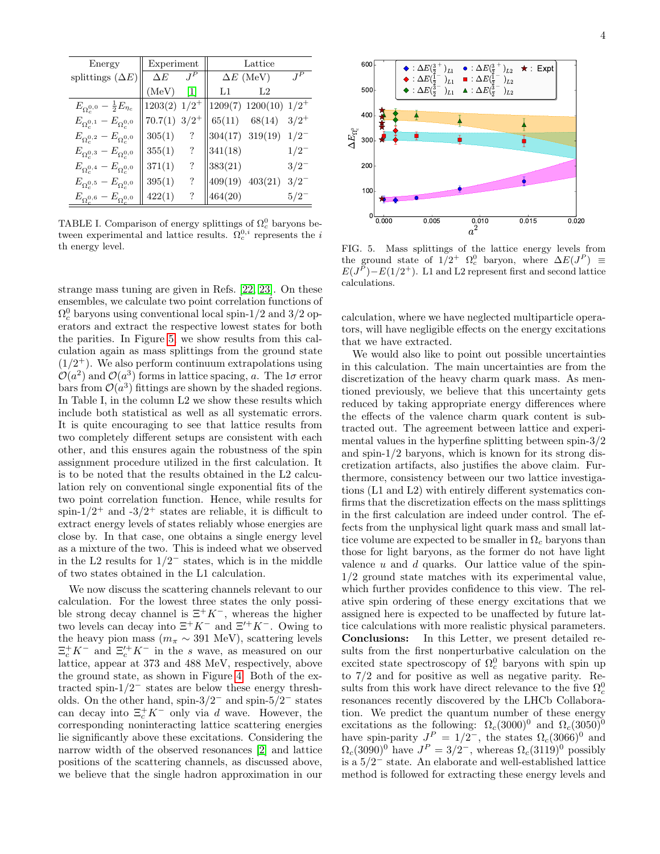| Energy                                              | Experiment                 |                          | Lattice          |                             |           |
|-----------------------------------------------------|----------------------------|--------------------------|------------------|-----------------------------|-----------|
| splittings $(\Delta E)$                             | $\Delta E$                 | $J^P$                    | $\Delta E$ (MeV) |                             | $J^P$     |
|                                                     | (MeV)                      | [1]                      | L1               | L2                          |           |
| $E_{\Omega_c^{0,0}} - \frac{1}{2}E_{\eta_c}$        | $1203(2)$ $1/2^+$          |                          |                  | $1209(7)$ 1200(10) $1/2^+$  |           |
| $E_{\Omega_c^{0,1}}-E_{\Omega_c^{0,0}}$             | $70.7(1)$ 3/2 <sup>+</sup> |                          |                  | $65(11)$ $68(14)$           | $3/2^+$   |
| $E_{\Omega_c^{0,2}} - E_{\Omega_c^{0,0}}$           | 305(1)                     | $\cdot$                  |                  | $304(17)$ $319(19)$ $1/2^-$ |           |
| $E_{\Omega_c^{0,3}}-E_{\Omega_c^{0,0}}$             | 355(1)                     | $\ddot{?}$               | 341(18)          |                             | $1/2^{-}$ |
| $E_{\Omega_c^{0,4}}-E_{\Omega_c^{0,0}}$             | 371(1)                     | $\overline{\mathcal{L}}$ | 383(21)          |                             | $3/2^{-}$ |
| $E_{\Omega_c^{0,5}}-E_{\Omega_c^{0,0}}$             | 395(1)                     | $\ddot{?}$               |                  | $409(19)$ $403(21)$         | $3/2^{-}$ |
| $E_{\Omega_{\circ}^{0,6}}-E_{\Omega_{\circ}^{0,0}}$ | 422(1)                     | ?                        | 464(20)          |                             | $5/2^{-}$ |

<span id="page-3-0"></span>TABLE I. Comparison of energy splittings of  $\Omega_c^0$  baryons between experimental and lattice results.  $\Omega_c^{0,i}$  represents the i th energy level.

strange mass tuning are given in Refs. [\[22,](#page-4-31) [23\]](#page-4-32). On these ensembles, we calculate two point correlation functions of  $\Omega_c^0$  baryons using conventional local spin-1/2 and 3/2 operators and extract the respective lowest states for both the parities. In Figure [5,](#page-3-1) we show results from this calculation again as mass splittings from the ground state  $(1/2^+)$ . We also perform continuum extrapolations using  $\mathcal{O}(a^2)$  and  $\mathcal{O}(a^3)$  forms in lattice spacing, a. The 1 $\sigma$  error bars from  $\mathcal{O}(a^3)$  fittings are shown by the shaded regions. In Table I, in the column L2 we show these results which include both statistical as well as all systematic errors. It is quite encouraging to see that lattice results from two completely different setups are consistent with each other, and this ensures again the robustness of the spin assignment procedure utilized in the first calculation. It is to be noted that the results obtained in the L2 calculation rely on conventional single exponential fits of the two point correlation function. Hence, while results for spin- $1/2^+$  and  $-3/2^+$  states are reliable, it is difficult to extract energy levels of states reliably whose energies are close by. In that case, one obtains a single energy level as a mixture of the two. This is indeed what we observed in the L2 results for  $1/2^-$  states, which is in the middle of two states obtained in the L1 calculation.

We now discuss the scattering channels relevant to our calculation. For the lowest three states the only possible strong decay channel is  $\Xi^+ K^-$ , whereas the higher two levels can decay into  $\Xi^+ K^-$  and  $\Xi'^+ K^-$ . Owing to the heavy pion mass ( $m_{\pi} \sim 391$  MeV), scattering levels  $\Xi_c^+ K^-$  and  $\Xi_c^{\prime+} K^-$  in the s wave, as measured on our lattice, appear at 373 and 488 MeV, respectively, above the ground state, as shown in Figure [4.](#page-2-1) Both of the extracted spin- $1/2^-$  states are below these energy thresholds. On the other hand, spin- $3/2^-$  and spin- $5/2^-$  states can decay into  $\Xi_c^+ K^-$  only via d wave. However, the corresponding noninteracting lattice scattering energies lie significantly above these excitations. Considering the narrow width of the observed resonances [\[2\]](#page-4-1) and lattice positions of the scattering channels, as discussed above, we believe that the single hadron approximation in our



<span id="page-3-1"></span>FIG. 5. Mass splittings of the lattice energy levels from the ground state of  $1/2^+$   $\Omega_c^0$  baryon, where  $\Delta E(J^P) \equiv$  $E(J^P) - E(1/2^+)$ . L1 and L2 represent first and second lattice calculations.

calculation, where we have neglected multiparticle operators, will have negligible effects on the energy excitations that we have extracted.

We would also like to point out possible uncertainties in this calculation. The main uncertainties are from the discretization of the heavy charm quark mass. As mentioned previously, we believe that this uncertainty gets reduced by taking appropriate energy differences where the effects of the valence charm quark content is subtracted out. The agreement between lattice and experimental values in the hyperfine splitting between spin-3/2 and spin-1/2 baryons, which is known for its strong discretization artifacts, also justifies the above claim. Furthermore, consistency between our two lattice investigations (L1 and L2) with entirely different systematics confirms that the discretization effects on the mass splittings in the first calculation are indeed under control. The effects from the unphysical light quark mass and small lattice volume are expected to be smaller in  $\Omega_c$  baryons than those for light baryons, as the former do not have light valence  $u$  and  $d$  quarks. Our lattice value of the spin-1/2 ground state matches with its experimental value, which further provides confidence to this view. The relative spin ordering of these energy excitations that we assigned here is expected to be unaffected by future lattice calculations with more realistic physical parameters. Conclusions: In this Letter, we present detailed results from the first nonperturbative calculation on the excited state spectroscopy of  $\Omega_c^0$  baryons with spin up to 7/2 and for positive as well as negative parity. Results from this work have direct relevance to the five  $\Omega_c^0$ resonances recently discovered by the LHCb Collaboration. We predict the quantum number of these energy excitations as the following:  $\Omega_c(3000)^0$  and  $\Omega_c(3050)^0$ have spin-parity  $J^P = 1/2^-$ , the states  $\Omega_c(3066)^0$  and  $\Omega_c(3090)^0$  have  $J^P = 3/2^-$ , whereas  $\Omega_c(3119)^0$  possibly is a  $5/2^-$  state. An elaborate and well-established lattice method is followed for extracting these energy levels and